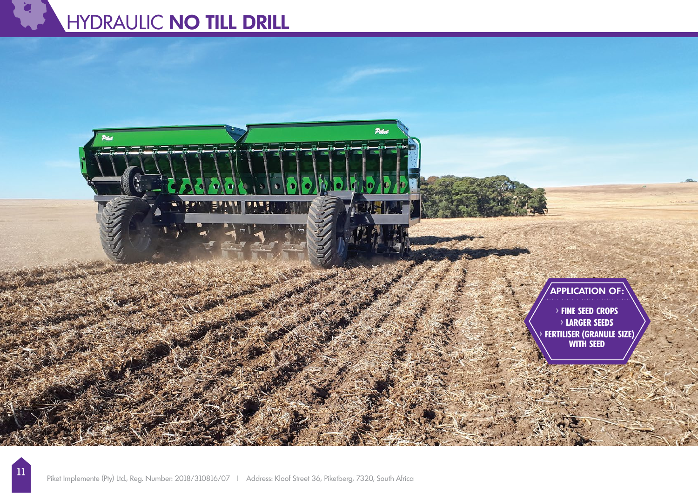# HYDRAULIC **NO TILL DRILL**

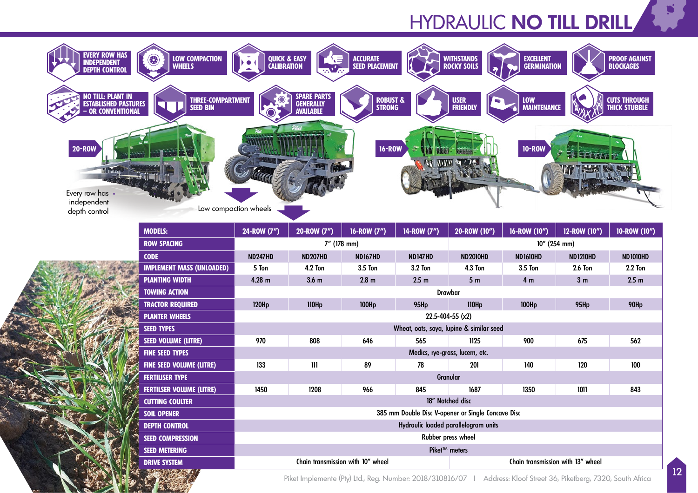# HYDRAULIC **NO TILL DRILL**





Piket Implemente (Pty) Ltd., Reg. Number: 2018/310816/07 | Address: Kloof Street 36, Piketberg, 7320, South Africa